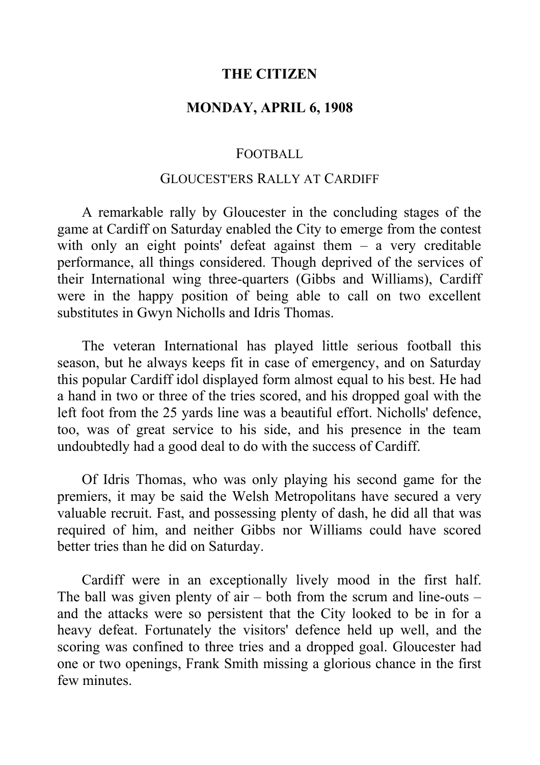## **THE CITIZEN**

# **MONDAY, APRIL 6, 1908**

#### FOOTBALL

# GLOUCEST'ERS RALLY AT CARDIFF

A remarkable rally by Gloucester in the concluding stages of the game at Cardiff on Saturday enabled the City to emerge from the contest with only an eight points' defeat against them – a very creditable performance, all things considered. Though deprived of the services of their International wing three-quarters (Gibbs and Williams), Cardiff were in the happy position of being able to call on two excellent substitutes in Gwyn Nicholls and Idris Thomas.

The veteran International has played little serious football this season, but he always keeps fit in case of emergency, and on Saturday this popular Cardiff idol displayed form almost equal to his best. He had a hand in two or three of the tries scored, and his dropped goal with the left foot from the 25 yards line was a beautiful effort. Nicholls' defence, too, was of great service to his side, and his presence in the team undoubtedly had a good deal to do with the success of Cardiff.

Of Idris Thomas, who was only playing his second game for the premiers, it may be said the Welsh Metropolitans have secured a very valuable recruit. Fast, and possessing plenty of dash, he did all that was required of him, and neither Gibbs nor Williams could have scored better tries than he did on Saturday.

Cardiff were in an exceptionally lively mood in the first half. The ball was given plenty of  $air - both$  from the scrum and line-outs  $$ and the attacks were so persistent that the City looked to be in for a heavy defeat. Fortunately the visitors' defence held up well, and the scoring was confined to three tries and a dropped goal. Gloucester had one or two openings, Frank Smith missing a glorious chance in the first few minutes.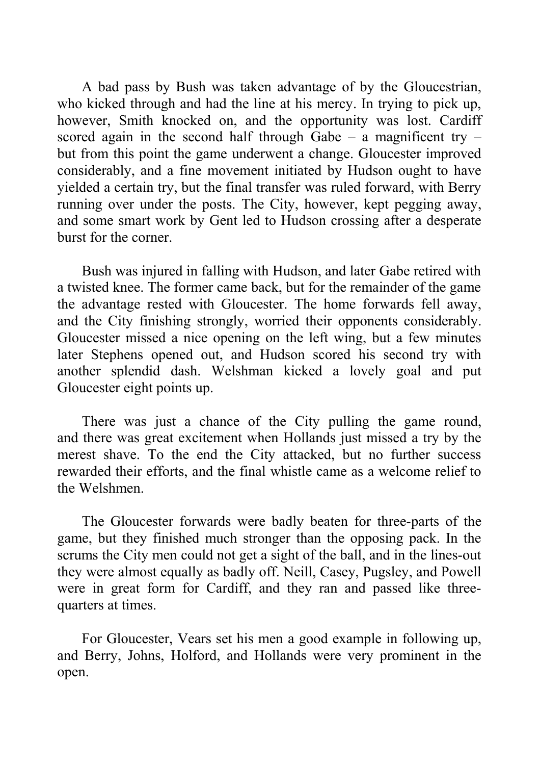A bad pass by Bush was taken advantage of by the Gloucestrian, who kicked through and had the line at his mercy. In trying to pick up, however, Smith knocked on, and the opportunity was lost. Cardiff scored again in the second half through Gabe – a magnificent try – but from this point the game underwent a change. Gloucester improved considerably, and a fine movement initiated by Hudson ought to have yielded a certain try, but the final transfer was ruled forward, with Berry running over under the posts. The City, however, kept pegging away, and some smart work by Gent led to Hudson crossing after a desperate burst for the corner.

Bush was injured in falling with Hudson, and later Gabe retired with a twisted knee. The former came back, but for the remainder of the game the advantage rested with Gloucester. The home forwards fell away, and the City finishing strongly, worried their opponents considerably. Gloucester missed a nice opening on the left wing, but a few minutes later Stephens opened out, and Hudson scored his second try with another splendid dash. Welshman kicked a lovely goal and put Gloucester eight points up.

There was just a chance of the City pulling the game round, and there was great excitement when Hollands just missed a try by the merest shave. To the end the City attacked, but no further success rewarded their efforts, and the final whistle came as a welcome relief to the Welshmen.

The Gloucester forwards were badly beaten for three-parts of the game, but they finished much stronger than the opposing pack. In the scrums the City men could not get a sight of the ball, and in the lines-out they were almost equally as badly off. Neill, Casey, Pugsley, and Powell were in great form for Cardiff, and they ran and passed like threequarters at times.

For Gloucester, Vears set his men a good example in following up, and Berry, Johns, Holford, and Hollands were very prominent in the open.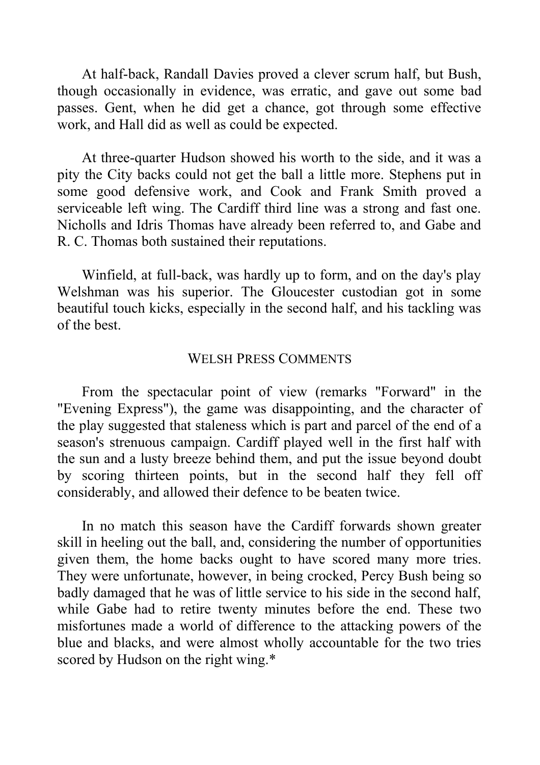At half-back, Randall Davies proved a clever scrum half, but Bush, though occasionally in evidence, was erratic, and gave out some bad passes. Gent, when he did get a chance, got through some effective work, and Hall did as well as could be expected.

At three-quarter Hudson showed his worth to the side, and it was a pity the City backs could not get the ball a little more. Stephens put in some good defensive work, and Cook and Frank Smith proved a serviceable left wing. The Cardiff third line was a strong and fast one. Nicholls and Idris Thomas have already been referred to, and Gabe and R. C. Thomas both sustained their reputations.

Winfield, at full-back, was hardly up to form, and on the day's play Welshman was his superior. The Gloucester custodian got in some beautiful touch kicks, especially in the second half, and his tackling was of the best.

## WELSH PRESS COMMENTS

From the spectacular point of view (remarks "Forward" in the "Evening Express"), the game was disappointing, and the character of the play suggested that staleness which is part and parcel of the end of a season's strenuous campaign. Cardiff played well in the first half with the sun and a lusty breeze behind them, and put the issue beyond doubt by scoring thirteen points, but in the second half they fell off considerably, and allowed their defence to be beaten twice.

In no match this season have the Cardiff forwards shown greater skill in heeling out the ball, and, considering the number of opportunities given them, the home backs ought to have scored many more tries. They were unfortunate, however, in being crocked, Percy Bush being so badly damaged that he was of little service to his side in the second half, while Gabe had to retire twenty minutes before the end. These two misfortunes made a world of difference to the attacking powers of the blue and blacks, and were almost wholly accountable for the two tries scored by Hudson on the right wing.\*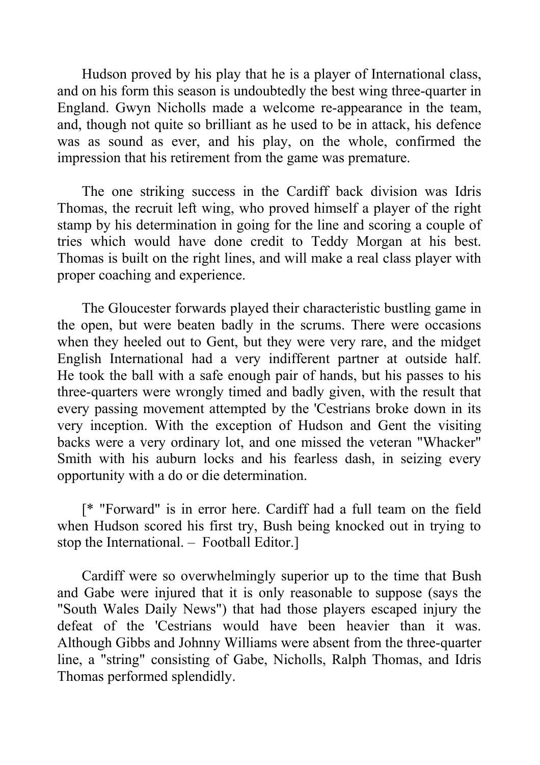Hudson proved by his play that he is a player of International class, and on his form this season is undoubtedly the best wing three-quarter in England. Gwyn Nicholls made a welcome re-appearance in the team, and, though not quite so brilliant as he used to be in attack, his defence was as sound as ever, and his play, on the whole, confirmed the impression that his retirement from the game was premature.

The one striking success in the Cardiff back division was Idris Thomas, the recruit left wing, who proved himself a player of the right stamp by his determination in going for the line and scoring a couple of tries which would have done credit to Teddy Morgan at his best. Thomas is built on the right lines, and will make a real class player with proper coaching and experience.

The Gloucester forwards played their characteristic bustling game in the open, but were beaten badly in the scrums. There were occasions when they heeled out to Gent, but they were very rare, and the midget English International had a very indifferent partner at outside half. He took the ball with a safe enough pair of hands, but his passes to his three-quarters were wrongly timed and badly given, with the result that every passing movement attempted by the 'Cestrians broke down in its very inception. With the exception of Hudson and Gent the visiting backs were a very ordinary lot, and one missed the veteran "Whacker" Smith with his auburn locks and his fearless dash, in seizing every opportunity with a do or die determination.

[\* "Forward" is in error here. Cardiff had a full team on the field when Hudson scored his first try, Bush being knocked out in trying to stop the International. – Football Editor.]

Cardiff were so overwhelmingly superior up to the time that Bush and Gabe were injured that it is only reasonable to suppose (says the "South Wales Daily News") that had those players escaped injury the defeat of the 'Cestrians would have been heavier than it was. Although Gibbs and Johnny Williams were absent from the three-quarter line, a "string" consisting of Gabe, Nicholls, Ralph Thomas, and Idris Thomas performed splendidly.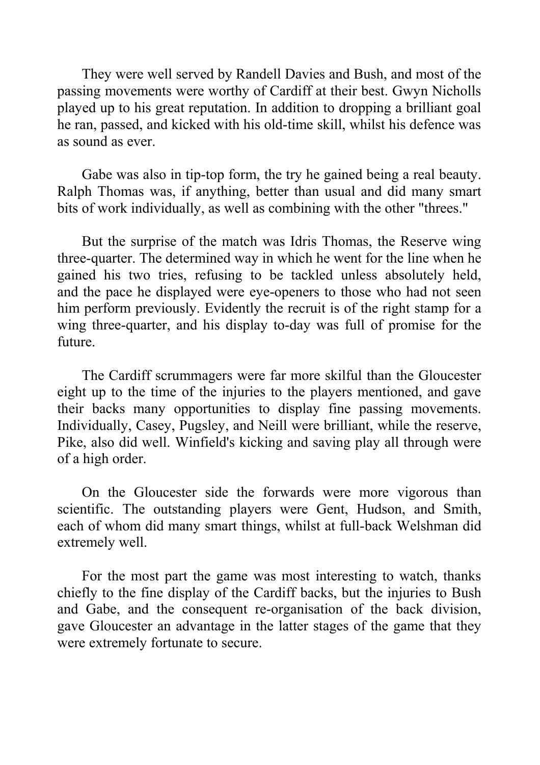They were well served by Randell Davies and Bush, and most of the passing movements were worthy of Cardiff at their best. Gwyn Nicholls played up to his great reputation. In addition to dropping a brilliant goal he ran, passed, and kicked with his old-time skill, whilst his defence was as sound as ever.

Gabe was also in tip-top form, the try he gained being a real beauty. Ralph Thomas was, if anything, better than usual and did many smart bits of work individually, as well as combining with the other "threes."

But the surprise of the match was Idris Thomas, the Reserve wing three-quarter. The determined way in which he went for the line when he gained his two tries, refusing to be tackled unless absolutely held, and the pace he displayed were eye-openers to those who had not seen him perform previously. Evidently the recruit is of the right stamp for a wing three-quarter, and his display to-day was full of promise for the future.

The Cardiff scrummagers were far more skilful than the Gloucester eight up to the time of the injuries to the players mentioned, and gave their backs many opportunities to display fine passing movements. Individually, Casey, Pugsley, and Neill were brilliant, while the reserve, Pike, also did well. Winfield's kicking and saving play all through were of a high order.

On the Gloucester side the forwards were more vigorous than scientific. The outstanding players were Gent, Hudson, and Smith, each of whom did many smart things, whilst at full-back Welshman did extremely well.

For the most part the game was most interesting to watch, thanks chiefly to the fine display of the Cardiff backs, but the injuries to Bush and Gabe, and the consequent re-organisation of the back division, gave Gloucester an advantage in the latter stages of the game that they were extremely fortunate to secure.